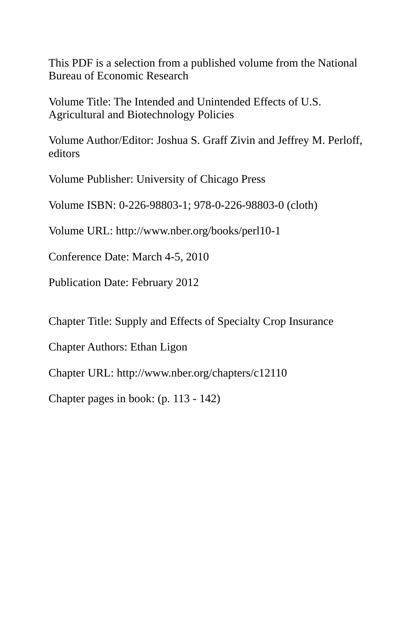This PDF is a selection from a published volume from the National Bureau of Economic Research

Volume Title: The Intended and Unintended Effects of U.S. Agricultural and Biotechnology Policies

Volume Author/Editor: Joshua S. Graff Zivin and Jeffrey M. Perloff, editors

Volume Publisher: University of Chicago Press

Volume ISBN: 0-226-98803-1; 978-0-226-98803-0 (cloth)

Volume URL: http://www.nber.org/books/perl10-1

Conference Date: March 4-5, 2010

Publication Date: February 2012

Chapter Title: Supply and Effects of Specialty Crop Insurance

Chapter Authors: Ethan Ligon

Chapter URL: http://www.nber.org/chapters/c12110

Chapter pages in book: (p. 113 - 142)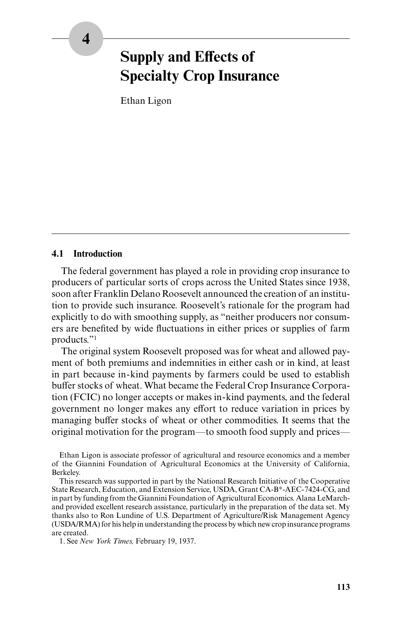# **Supply and Effects of Specialty Crop Insurance**

Ethan Ligon

#### **4.1 Introduction**

The federal government has played a role in providing crop insurance to producers of particular sorts of crops across the United States since 1938, soon after Franklin Delano Roosevelt announced the creation of an institution to provide such insurance. Roosevelt's rationale for the program had explicitly to do with smoothing supply, as "neither producers nor consumers are benefited by wide fluctuations in either prices or supplies of farm products."1

The original system Roosevelt proposed was for wheat and allowed payment of both premiums and indemnities in either cash or in kind, at least in part because in- kind payments by farmers could be used to establish buffer stocks of wheat. What became the Federal Crop Insurance Corporation (FCIC) no longer accepts or makes in- kind payments, and the federal government no longer makes any effort to reduce variation in prices by managing buffer stocks of wheat or other commodities. It seems that the original motivation for the program—to smooth food supply and prices—

Ethan Ligon is associate professor of agricultural and resource economics and a member of the Giannini Foundation of Agricultural Economics at the University of California, Berkeley.

This research was supported in part by the National Research Initiative of the Cooperative State Research, Education, and Extension Service, USDA, Grant CA-B<sup>∗</sup>-AEC-7424-CG, and in part by funding from the Giannini Foundation of Agricultural Economics. Alana LeMarchand provided excellent research assistance, particularly in the preparation of the data set. My thanks also to Ron Lundine of U.S. Department of Agriculture/Risk Management Agency (USDA/ RMA) for his help in understanding the process by which new crop insurance programs are created.

1. See *New York Times,* February 19, 1937.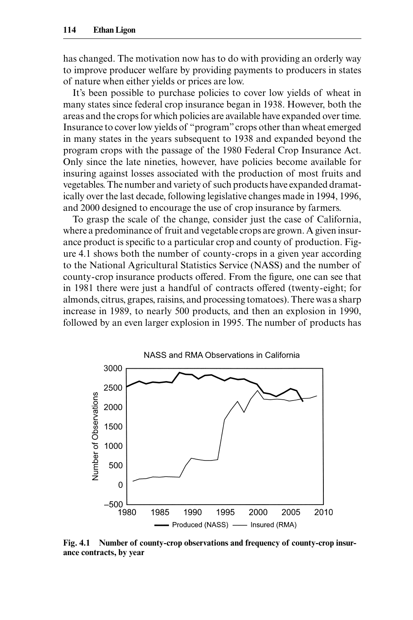has changed. The motivation now has to do with providing an orderly way to improve producer welfare by providing payments to producers in states of nature when either yields or prices are low.

It's been possible to purchase policies to cover low yields of wheat in many states since federal crop insurance began in 1938. However, both the areas and the crops for which policies are available have expanded over time. Insurance to cover low yields of "program" crops other than wheat emerged in many states in the years subsequent to 1938 and expanded beyond the program crops with the passage of the 1980 Federal Crop Insurance Act. Only since the late nineties, however, have policies become available for in suring against losses associated with the production of most fruits and vegetables. The number and variety of such products have expanded dramatically over the last decade, following legislative changes made in 1994, 1996, and 2000 designed to encourage the use of crop insurance by farmers.

To grasp the scale of the change, consider just the case of California, where a predominance of fruit and vegetable crops are grown. A given insurance product is specific to a particular crop and county of production. Figure 4.1 shows both the number of county- crops in a given year according to the National Agricultural Statistics Service (NASS) and the number of county-crop insurance products offered. From the figure, one can see that in 1981 there were just a handful of contracts offered (twenty- eight; for almonds, citrus, grapes, raisins, and processing tomatoes). There was a sharp increase in 1989, to nearly 500 products, and then an explosion in 1990, followed by an even larger explosion in 1995. The number of products has



Fig. 4.1 Number of county-crop observations and frequency of county-crop insur**ance contracts, by year**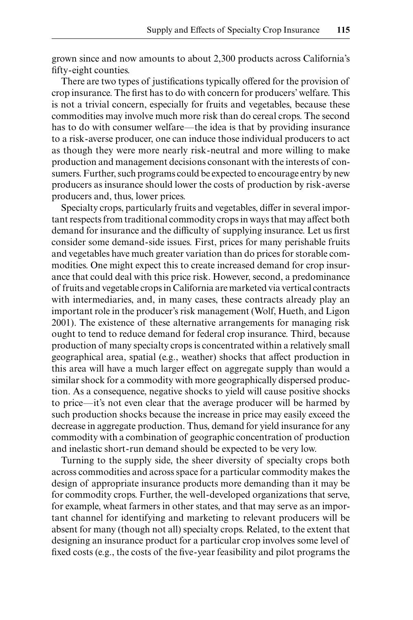grown since and now amounts to about 2,300 products across California's fifty-eight counties.

There are two types of justifications typically offered for the provision of crop insurance. The first has to do with concern for producers' welfare. This is not a trivial concern, especially for fruits and vegetables, because these commodities may involve much more risk than do cereal crops. The second has to do with consumer welfare—the idea is that by providing insurance to a risk- averse producer, one can induce those individual producers to act as though they were more nearly risk- neutral and more willing to make production and management decisions consonant with the interests of consumers. Further, such programs could be expected to encourage entry by new producers as insurance should lower the costs of production by risk- averse producers and, thus, lower prices.

Specialty crops, particularly fruits and vegetables, differ in several important respects from traditional commodity crops in ways that may affect both demand for insurance and the difficulty of supplying insurance. Let us first consider some demand- side issues. First, prices for many perishable fruits and vegetables have much greater variation than do prices for storable commodities. One might expect this to create increased demand for crop insurance that could deal with this price risk. However, second, a predominance of fruits and vegetable crops in California are marketed via vertical contracts with intermediaries, and, in many cases, these contracts already play an important role in the producer's risk management (Wolf, Hueth, and Ligon 2001). The existence of these alternative arrangements for managing risk ought to tend to reduce demand for federal crop insurance. Third, because production of many specialty crops is concentrated within a relatively small geographical area, spatial (e.g., weather) shocks that affect production in this area will have a much larger effect on aggregate supply than would a similar shock for a commodity with more geographically dispersed production. As a consequence, negative shocks to yield will cause positive shocks to price—it's not even clear that the average producer will be harmed by such production shocks because the increase in price may easily exceed the decrease in aggregate production. Thus, demand for yield insurance for any commodity with a combination of geographic concentration of production and inelastic short- run demand should be expected to be very low.

Turning to the supply side, the sheer diversity of specialty crops both across commodities and across space for a particular commodity makes the design of appropriate insurance products more demanding than it may be for commodity crops. Further, the well- developed organizations that serve, for example, wheat farmers in other states, and that may serve as an important channel for identifying and marketing to relevant producers will be absent for many (though not all) specialty crops. Related, to the extent that designing an insurance product for a particular crop involves some level of fixed costs (e.g., the costs of the five-year feasibility and pilot programs the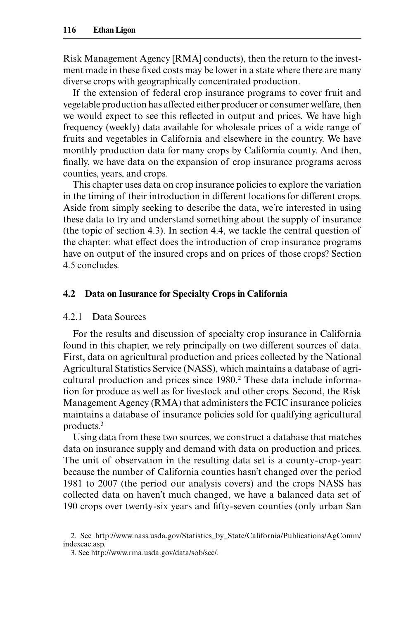Risk Management Agency [RMA] conducts), then the return to the investment made in these fixed costs may be lower in a state where there are many diverse crops with geographically concentrated production.

If the extension of federal crop insurance programs to cover fruit and vegetable production has affected either producer or consumer welfare, then we would expect to see this reflected in output and prices. We have high frequency (weekly) data available for wholesale prices of a wide range of fruits and vegetables in California and elsewhere in the country. We have monthly production data for many crops by California county. And then, finally, we have data on the expansion of crop insurance programs across counties, years, and crops.

This chapter uses data on crop insurance policies to explore the variation in the timing of their introduction in different locations for different crops. Aside from simply seeking to describe the data, we're interested in using these data to try and understand something about the supply of insurance (the topic of section 4.3). In section 4.4, we tackle the central question of the chapter: what effect does the introduction of crop insurance programs have on output of the insured crops and on prices of those crops? Section 4.5 concludes.

#### **4.2 Data on Insurance for Specialty Crops in California**

#### 4.2.1 Data Sources

For the results and discussion of specialty crop insurance in California found in this chapter, we rely principally on two different sources of data. First, data on agricultural production and prices collected by the National Agricultural Statistics Service (NASS), which maintains a database of agricultural production and prices since 1980.<sup>2</sup> These data include information for produce as well as for livestock and other crops. Second, the Risk Management Agency (RMA) that administers the FCIC insurance policies maintains a database of insurance policies sold for qualifying agricultural products.3

Using data from these two sources, we construct a database that matches data on insurance supply and demand with data on production and prices. The unit of observation in the resulting data set is a county-crop-year: because the number of California counties hasn't changed over the period 1981 to 2007 (the period our analysis covers) and the crops NASS has collected data on haven't much changed, we have a balanced data set of 190 crops over twenty-six years and fifty-seven counties (only urban San

<sup>2.</sup> See http://www.nass.usda.gov/Statistics\_by\_State/California/Publications/AgComm/ indexcac.asp.

<sup>3.</sup> See http://www.rma.usda.gov/data/sob/scc/.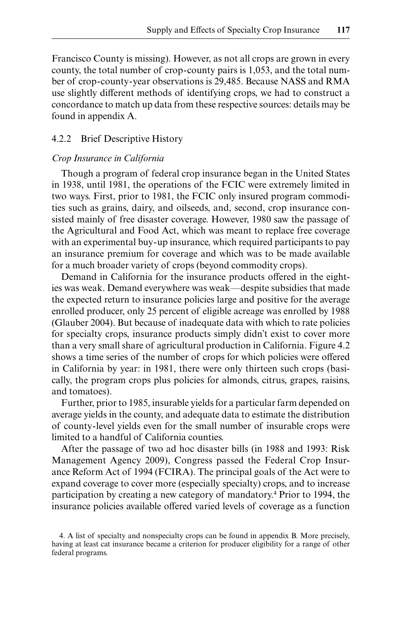Francisco County is missing). However, as not all crops are grown in every county, the total number of crop- county pairs is 1,053, and the total number of crop-county-year observations is 29,485. Because NASS and RMA use slightly different methods of identifying crops, we had to construct a concordance to match up data from these respective sources: details may be found in appendix A.

#### 4.2.2 Brief Descriptive History

#### *Crop Insurance in California*

Though a program of federal crop insurance began in the United States in 1938, until 1981, the operations of the FCIC were extremely limited in two ways. First, prior to 1981, the FCIC only insured program commodities such as grains, dairy, and oilseeds, and, second, crop insurance consisted mainly of free disaster coverage. However, 1980 saw the passage of the Agricultural and Food Act, which was meant to replace free coverage with an experimental buy-up insurance, which required participants to pay an insurance premium for coverage and which was to be made available for a much broader variety of crops (beyond commodity crops).

Demand in California for the insurance products offered in the eighties was weak. Demand everywhere was weak—despite subsidies that made the expected return to insurance policies large and positive for the average enrolled producer, only 25 percent of eligible acreage was enrolled by 1988 (Glauber 2004). But because of inadequate data with which to rate policies for specialty crops, insurance products simply didn't exist to cover more than a very small share of agricultural production in California. Figure 4.2 shows a time series of the number of crops for which policies were offered in California by year: in 1981, there were only thirteen such crops (basically, the program crops plus policies for almonds, citrus, grapes, raisins, and tomatoes).

Further, prior to 1985, insurable yields for a particular farm depended on average yields in the county, and adequate data to estimate the distribution of county- level yields even for the small number of insurable crops were limited to a handful of California counties.

After the passage of two ad hoc disaster bills (in 1988 and 1993: Risk Management Agency 2009), Congress passed the Federal Crop Insurance Reform Act of 1994 (FCIRA). The principal goals of the Act were to expand coverage to cover more (especially specialty) crops, and to increase participation by creating a new category of mandatory.4 Prior to 1994, the insurance policies available offered varied levels of coverage as a function

<sup>4.</sup> A list of specialty and nonspecialty crops can be found in appendix B. More precisely, having at least cat insurance became a criterion for producer eligibility for a range of other federal programs.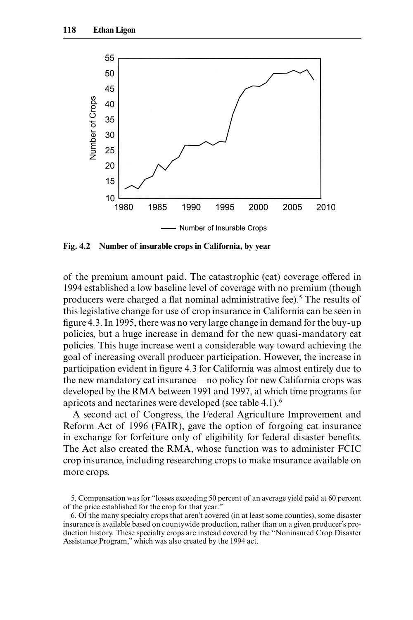

**Fig. 4.2 Number of insurable crops in California, by year**

of the premium amount paid. The catastrophic (cat) coverage offered in 1994 established a low baseline level of coverage with no premium (though producers were charged a flat nominal administrative fee).<sup>5</sup> The results of this legislative change for use of crop insurance in California can be seen in figure 4.3. In 1995, there was no very large change in demand for the buy-up policies, but a huge increase in demand for the new quasi- mandatory cat policies. This huge increase went a considerable way toward achieving the goal of increasing overall producer participation. However, the increase in participation evident in figure 4.3 for California was almost entirely due to the new mandatory cat insurance—no policy for new California crops was developed by the RMA between 1991 and 1997, at which time programs for apricots and nectarines were developed (see table 4.1).6

A second act of Congress, the Federal Agriculture Improvement and Reform Act of 1996 (FAIR), gave the option of forgoing cat insurance in exchange for forfeiture only of eligibility for federal disaster benefits. The Act also created the RMA, whose function was to administer FCIC crop insurance, including researching crops to make insurance available on more crops.

<sup>5.</sup> Compensation was for "losses exceeding 50 percent of an average yield paid at 60 percent of the price established for the crop for that year."

<sup>6.</sup> Of the many specialty crops that aren't covered (in at least some counties), some disaster insurance is available based on countywide production, rather than on a given producer's production history. These specialty crops are instead covered by the "Noninsured Crop Disaster Assistance Program," which was also created by the 1994 act.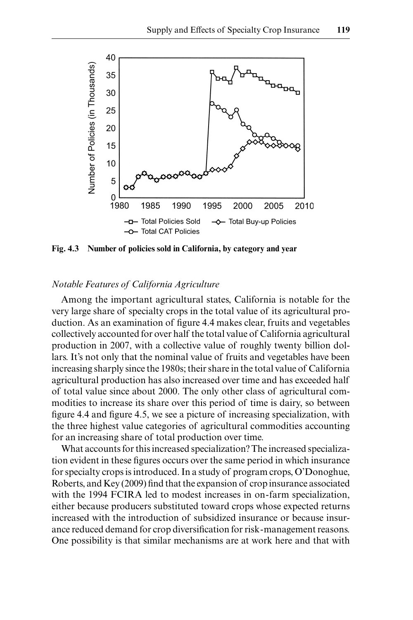

**Fig. 4.3 Number of policies sold in California, by category and year**

## *Notable Features of California Agriculture*

Among the important agricultural states, California is notable for the very large share of specialty crops in the total value of its agricultural production. As an examination of figure 4.4 makes clear, fruits and vegetables collectively accounted for over half the total value of California agricultural production in 2007, with a collective value of roughly twenty billion dollars. It's not only that the nominal value of fruits and vegetables have been increasing sharply since the 1980s; their share in the total value of California agricultural production has also increased over time and has exceeded half of total value since about 2000. The only other class of agricultural commodities to increase its share over this period of time is dairy, so between figure 4.4 and figure 4.5, we see a picture of increasing specialization, with the three highest value categories of agricultural commodities accounting for an increasing share of total production over time.

What accounts for this increased specialization? The increased specialization evident in these figures occurs over the same period in which insurance for specialty crops is introduced. In a study of program crops, O'Donoghue, Roberts, and Key (2009) find that the expansion of crop insurance associated with the 1994 FCIRA led to modest increases in on-farm specialization, either because producers substituted toward crops whose expected returns increased with the introduction of subsidized insurance or because insurance reduced demand for crop diversification for risk-management reasons. One possibility is that similar mechanisms are at work here and that with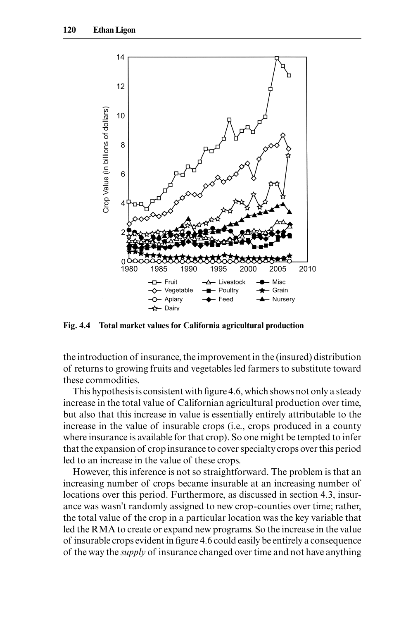

**Fig. 4.4 Total market values for California agricultural production**

the introduction of insurance, the improvement in the (insured) distribution of returns to growing fruits and vegetables led farmers to substitute toward these commodities.

This hypothesis is consistent with figure 4.6, which shows not only a steady increase in the total value of Californian agricultural production over time, but also that this increase in value is essentially entirely attributable to the increase in the value of insurable crops (i.e., crops produced in a county where insurance is available for that crop). So one might be tempted to infer that the expansion of crop insurance to cover specialty crops over this period led to an increase in the value of these crops.

However, this inference is not so straightforward. The problem is that an increasing number of crops became insurable at an increasing number of locations over this period. Furthermore, as discussed in section 4.3, insurance was wasn't randomly assigned to new crop- counties over time; rather, the total value of the crop in a particular location was the key variable that led the RMA to create or expand new programs. So the increase in the value of insurable crops evident in figure 4.6 could easily be entirely a consequence of the way the *supply* of insurance changed over time and not have anything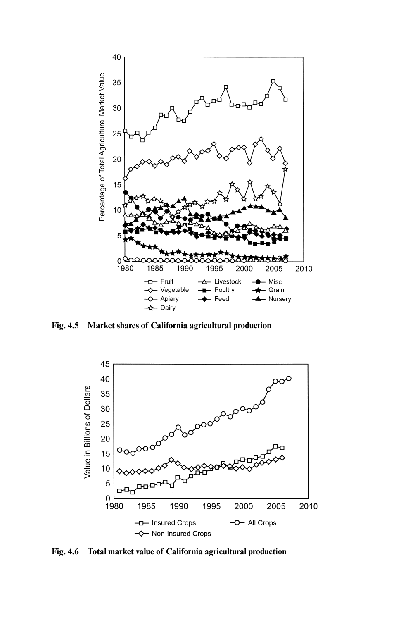

**Fig. 4.5 Market shares of California agricultural production**



**Fig. 4.6 Total market value of California agricultural production**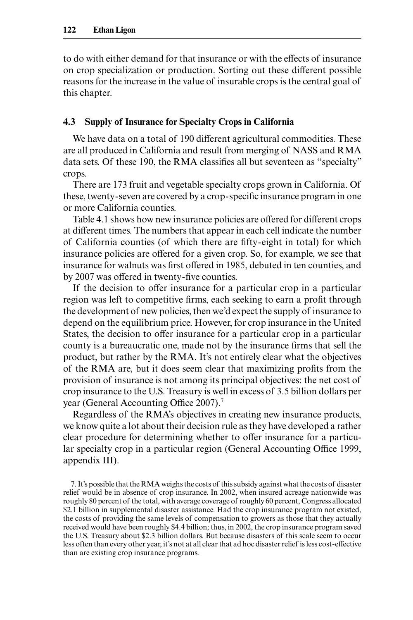to do with either demand for that insurance or with the effects of insurance on crop specialization or production. Sorting out these different possible reasons for the increase in the value of insurable crops is the central goal of this chapter.

## **4.3 Supply of Insurance for Specialty Crops in California**

We have data on a total of 190 different agricultural commodities. These are all produced in California and result from merging of NASS and RMA data sets. Of these 190, the RMA classifies all but seventeen as "specialty" crops.

There are 173 fruit and vegetable specialty crops grown in California. Of these, twenty-seven are covered by a crop-specific insurance program in one or more California counties.

Table 4.1 shows how new insurance policies are offered for different crops at different times. The numbers that appear in each cell indicate the number of California counties (of which there are fifty-eight in total) for which insurance policies are offered for a given crop. So, for example, we see that insurance for walnuts was first offered in 1985, debuted in ten counties, and by 2007 was offered in twenty-five counties.

If the decision to offer insurance for a particular crop in a particular region was left to competitive firms, each seeking to earn a profit through the development of new policies, then we'd expect the supply of insurance to depend on the equilibrium price. However, for crop insurance in the United States, the decision to offer insurance for a particular crop in a particular county is a bureaucratic one, made not by the insurance firms that sell the product, but rather by the RMA. It's not entirely clear what the objectives of the RMA are, but it does seem clear that maximizing profits from the provision of insurance is not among its principal objectives: the net cost of crop insurance to the U.S. Treasury is well in excess of 3.5 billion dollars per year (General Accounting Office 2007).<sup>7</sup>

Regardless of the RMA's objectives in creating new insurance products, we know quite a lot about their decision rule as they have developed a rather clear procedure for determining whether to offer insurance for a particular specialty crop in a particular region (General Accounting Office 1999, appendix III).

7. It's possible that the RMA weighs the costs of this subsidy against what the costs of disaster relief would be in absence of crop insurance. In 2002, when insured acreage nationwide was roughly 80 percent of the total, with average coverage of roughly 60 percent, Congress allocated \$2.1 billion in supplemental disaster assistance. Had the crop insurance program not existed, the costs of providing the same levels of compensation to growers as those that they actually received would have been roughly \$4.4 billion; thus, in 2002, the crop insurance program saved the U.S. Treasury about \$2.3 billion dollars. But because disasters of this scale seem to occur less often than every other year, it's not at all clear that ad hoc disaster relief is less cost- effective than are existing crop insurance programs.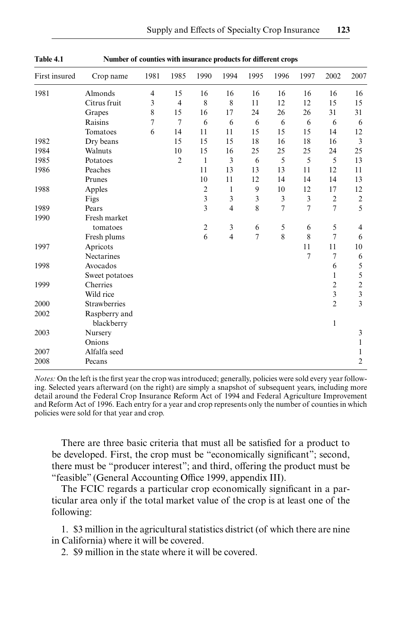| First insured | Crop name                   | 1981 | 1985           | 1990           | 1994           | 1995 | 1996           | 1997           | 2002           | 2007           |
|---------------|-----------------------------|------|----------------|----------------|----------------|------|----------------|----------------|----------------|----------------|
| 1981          | Almonds                     | 4    | 15             | 16             | 16             | 16   | 16             | 16             | 16             | 16             |
|               | Citrus fruit                | 3    | $\overline{4}$ | 8              | 8              | 11   | 12             | 12             | 15             | 15             |
|               | Grapes                      | 8    | 15             | 16             | 17             | 24   | 26             | 26             | 31             | 31             |
|               | Raisins                     | 7    | 7              | 6              | 6              | 6    | 6              | 6              | 6              | 6              |
|               | Tomatoes                    | 6    | 14             | 11             | 11             | 15   | 15             | 15             | 14             | 12             |
| 1982          | Dry beans                   |      | 15             | 15             | 15             | 18   | 16             | 18             | 16             | 3              |
| 1984          | Walnuts                     |      | 10             | 15             | 16             | 25   | 25             | 25             | 24             | 25             |
| 1985          | Potatoes                    |      | $\overline{2}$ | 1              | 3              | 6    | 5              | 5              | 5              | 13             |
| 1986          | Peaches                     |      |                | 11             | 13             | 13   | 13             | 11             | 12             | 11             |
|               | Prunes                      |      |                | 10             | 11             | 12   | 14             | 14             | 14             | 13             |
| 1988          | Apples                      |      |                | $\sqrt{2}$     | 1              | 9    | 10             | 12             | 17             | 12             |
|               | Figs                        |      |                | 3              | 3              | 3    | 3              | 3              | $\overline{2}$ | $\overline{c}$ |
| 1989          | Pears                       |      |                | 3              | $\overline{4}$ | 8    | $\overline{7}$ | 7              | $\overline{7}$ | 5              |
| 1990          | Fresh market                |      |                |                |                |      |                |                |                |                |
|               | tomatoes                    |      |                | $\overline{2}$ | 3              | 6    | 5              | 6              | 5              | 4              |
|               | Fresh plums                 |      |                | 6              | $\overline{4}$ | 7    | 8              | 8              | 7              | 6              |
| 1997          | Apricots                    |      |                |                |                |      |                | 11             | 11             | 10             |
|               | Nectarines                  |      |                |                |                |      |                | $\overline{7}$ | 7              | 6              |
| 1998          | Avocados                    |      |                |                |                |      |                |                | 6              | 5              |
|               | Sweet potatoes              |      |                |                |                |      |                |                | 1              | 5              |
| 1999          | Cherries                    |      |                |                |                |      |                |                | $\overline{c}$ | $\overline{c}$ |
|               | Wild rice                   |      |                |                |                |      |                |                | 3              | 3              |
| 2000          | <b>Strawberries</b>         |      |                |                |                |      |                |                | $\overline{2}$ | 3              |
| 2002          | Raspberry and<br>blackberry |      |                |                |                |      |                |                | $\mathbf{1}$   |                |
| 2003          | Nursery                     |      |                |                |                |      |                |                |                | 3              |
|               | Onions                      |      |                |                |                |      |                |                |                | 1              |
| 2007          | Alfalfa seed                |      |                |                |                |      |                |                |                | 1              |
| 2008          | Pecans                      |      |                |                |                |      |                |                |                | $\overline{c}$ |

**Table 4.1 Number of counties with insurance products for different crops**

*Notes:* On the left is the first year the crop was introduced; generally, policies were sold every year following. Selected years afterward (on the right) are simply a snapshot of subsequent years, including more detail around the Federal Crop Insurance Reform Act of 1994 and Federal Agriculture Improvement and Reform Act of 1996. Each entry for a year and crop represents only the number of counties in which policies were sold for that year and crop.

There are three basic criteria that must all be satisfied for a product to be developed. First, the crop must be "economically significant"; second, there must be "producer interest"; and third, offering the product must be "feasible" (General Accounting Office 1999, appendix III).

The FCIC regards a particular crop economically significant in a particular area only if the total market value of the crop is at least one of the following:

1. \$3 million in the agricultural statistics district (of which there are nine in California) where it will be covered.

2. \$9 million in the state where it will be covered.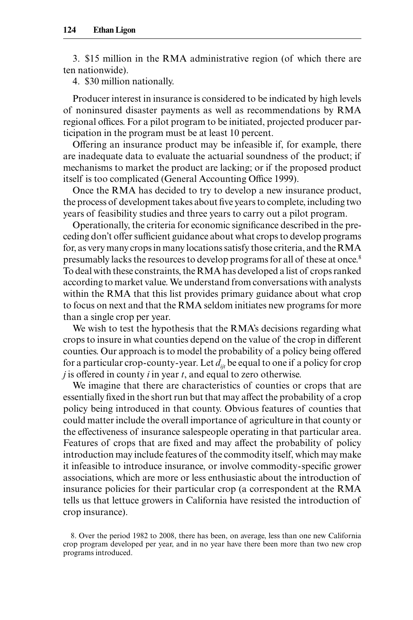3. \$15 million in the RMA administrative region (of which there are ten nationwide).

4. \$30 million nationally.

Producer interest in insurance is considered to be indicated by high levels of noninsured disaster payments as well as recommendations by RMA regional offices. For a pilot program to be initiated, projected producer participation in the program must be at least 10 percent.

Offering an insurance product may be infeasible if, for example, there are inadequate data to evaluate the actuarial soundness of the product; if mechanisms to market the product are lacking; or if the proposed product itself is too complicated (General Accounting Office 1999).

Once the RMA has decided to try to develop a new insurance product, the process of development takes about five years to complete, including two years of feasibility studies and three years to carry out a pilot program.

Operationally, the criteria for economic significance described in the preceding don't offer sufficient guidance about what crops to develop programs for, as very many crops in many locations satisfy those criteria, and the RMA presumably lacks the resources to develop programs for all of these at once.<sup>8</sup> To deal with these constraints, the RMA has developed a list of crops ranked according to market value. We understand from conversations with analysts within the RMA that this list provides primary guidance about what crop to focus on next and that the RMA seldom initiates new programs for more than a single crop per year.

We wish to test the hypothesis that the RMA's decisions regarding what crops to insure in what counties depend on the value of the crop in different counties. Our approach is to model the probability of a policy being offered for a particular crop-county-year. Let  $d_{ii}$  be equal to one if a policy for crop *j* is offered in county *i* in year *t*, and equal to zero otherwise.

We imagine that there are characteristics of counties or crops that are essentially fixed in the short run but that may affect the probability of a crop policy being introduced in that county. Obvious features of counties that could matter include the overall importance of agriculture in that county or the effectiveness of insurance salespeople operating in that particular area. Features of crops that are fixed and may affect the probability of policy introduction may include features of the commodity itself, which may make it infeasible to introduce insurance, or involve commodity-specific grower associations, which are more or less enthusiastic about the introduction of insurance policies for their particular crop (a correspondent at the RMA tells us that lettuce growers in California have resisted the introduction of crop insurance).

<sup>8.</sup> Over the period 1982 to 2008, there has been, on average, less than one new California crop program developed per year, and in no year have there been more than two new crop programs introduced.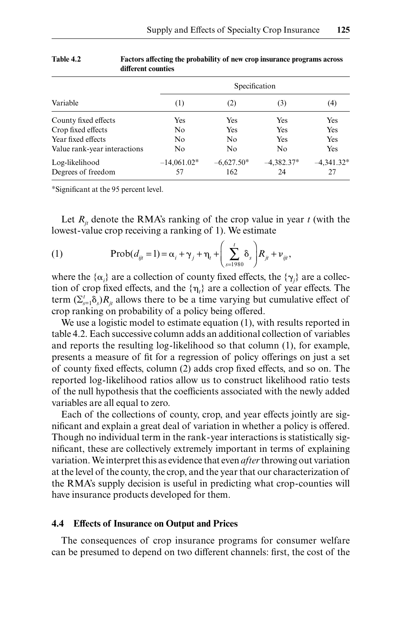|                              | Specification |                |              |              |  |  |
|------------------------------|---------------|----------------|--------------|--------------|--|--|
| Variable                     | (1)           | (2)            | (3)          | (4)          |  |  |
| County fixed effects         | Yes           | Yes            | Yes          | Yes          |  |  |
| Crop fixed effects           | No            | Yes            | Yes          | Yes          |  |  |
| Year fixed effects           | No            | N <sub>0</sub> | Yes          | Yes          |  |  |
| Value rank-year interactions | No            | No             | No           | Yes          |  |  |
| Log-likelihood               | $-14,061.02*$ | $-6,627.50*$   | $-4,382.37*$ | $-4,341.32*$ |  |  |
| Degrees of freedom           | 57            | 162            | 24           | 27           |  |  |

#### **Table 4.2 Factors affecting the probability of new crop insurance programs across different counties**

∗Signifi cant at the 95 percent level.

Let  $R_{it}$  denote the RMA's ranking of the crop value in year *t* (with the lowest- value crop receiving a ranking of 1). We estimate

(1) 
$$
\text{Prob}(d_{ijl} = 1) = \alpha_i + \gamma_j + \eta_l + \left(\sum_{s=1980}^{l} \delta_s\right) R_{jl} + \nu_{ijl},
$$

where the  $\{\alpha_i\}$  are a collection of county fixed effects, the  $\{\gamma_j\}$  are a collection of crop fixed effects, and the  $\{\eta_i\}$  are a collection of year effects. The term  $(\sum_{s=1}^{t} \delta_s) R_{jt}$  allows there to be a time varying but cumulative effect of crop ranking on probability of a policy being offered.

We use a logistic model to estimate equation (1), with results reported in table 4.2. Each successive column adds an additional collection of variables and reports the resulting log-likelihood so that column (1), for example, presents a measure of fit for a regression of policy offerings on just a set of county fixed effects, column (2) adds crop fixed effects, and so on. The reported log- likelihood ratios allow us to construct likelihood ratio tests of the null hypothesis that the coefficients associated with the newly added variables are all equal to zero.

Each of the collections of county, crop, and year effects jointly are significant and explain a great deal of variation in whether a policy is offered. Though no individual term in the rank- year interactions is statistically significant, these are collectively extremely important in terms of explaining variation. We interpret this as evidence that even *after* throwing out variation at the level of the county, the crop, and the year that our characterization of the RMA's supply decision is useful in predicting what crop- counties will have insurance products developed for them.

#### **4.4 Effects of Insurance on Output and Prices**

The consequences of crop insurance programs for consumer welfare can be presumed to depend on two different channels: first, the cost of the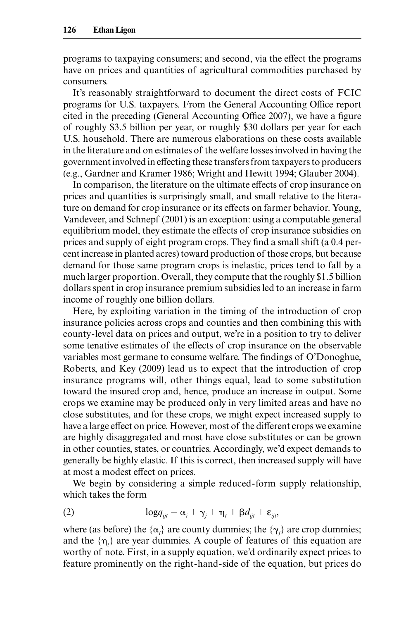programs to taxpaying consumers; and second, via the effect the programs have on prices and quantities of agricultural commodities purchased by consumers.

It's reasonably straightforward to document the direct costs of FCIC programs for U.S. taxpayers. From the General Accounting Office report cited in the preceding (General Accounting Office 2007), we have a figure of roughly \$3.5 billion per year, or roughly \$30 dollars per year for each U.S. household. There are numerous elaborations on these costs available in the literature and on estimates of the welfare losses involved in having the government involved in effecting these transfers from taxpayers to producers (e.g., Gardner and Kramer 1986; Wright and Hewitt 1994; Glauber 2004).

In comparison, the literature on the ultimate effects of crop insurance on prices and quantities is surprisingly small, and small relative to the literature on demand for crop insurance or its effects on farmer behavior. Young, Vandeveer, and Schnepf (2001) is an exception: using a computable general equilibrium model, they estimate the effects of crop insurance subsidies on prices and supply of eight program crops. They find a small shift (a 0.4 percent increase in planted acres) toward production of those crops, but because demand for those same program crops is inelastic, prices tend to fall by a much larger proportion. Overall, they compute that the roughly \$1.5 billion dollars spent in crop insurance premium subsidies led to an increase in farm income of roughly one billion dollars.

Here, by exploiting variation in the timing of the introduction of crop insurance policies across crops and counties and then combining this with county- level data on prices and output, we're in a position to try to deliver some tenative estimates of the effects of crop insurance on the observable variables most germane to consume welfare. The findings of O'Donoghue, Roberts, and Key (2009) lead us to expect that the introduction of crop insurance programs will, other things equal, lead to some substitution toward the insured crop and, hence, produce an increase in output. Some crops we examine may be produced only in very limited areas and have no close substitutes, and for these crops, we might expect increased supply to have a large effect on price. However, most of the different crops we examine are highly disaggregated and most have close substitutes or can be grown in other counties, states, or countries. Accordingly, we'd expect demands to generally be highly elastic. If this is correct, then increased supply will have at most a modest effect on prices.

We begin by considering a simple reduced-form supply relationship, which takes the form

(2) 
$$
\log q_{ijt} = \alpha_i + \gamma_j + \eta_t + \beta d_{ijt} + \varepsilon_{ijt},
$$

where (as before) the  $\{\alpha_i\}$  are county dummies; the  $\{\gamma_j\}$  are crop dummies; and the  $\{\eta_i\}$  are year dummies. A couple of features of this equation are worthy of note. First, in a supply equation, we'd ordinarily expect prices to feature prominently on the right- hand- side of the equation, but prices do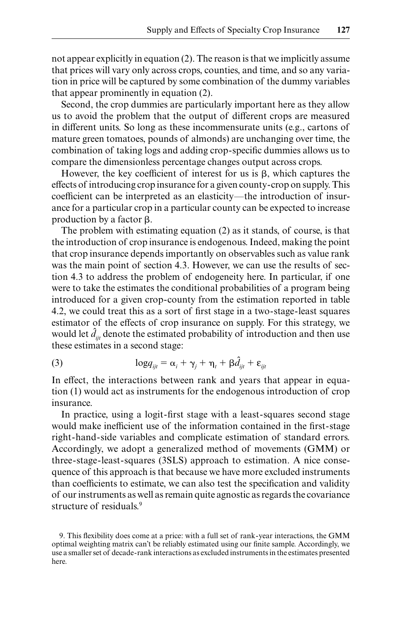not appear explicitly in equation (2). The reason is that we implicitly assume that prices will vary only across crops, counties, and time, and so any variation in price will be captured by some combination of the dummy variables that appear prominently in equation (2).

Second, the crop dummies are particularly important here as they allow us to avoid the problem that the output of different crops are measured in different units. So long as these incommensurate units (e.g., cartons of mature green tomatoes, pounds of almonds) are unchanging over time, the combination of taking logs and adding crop-specific dummies allows us to compare the dimensionless percentage changes output across crops.

However, the key coefficient of interest for us is  $\beta$ , which captures the effects of introducing crop insurance for a given county- crop on supply. This coefficient can be interpreted as an elasticity—the introduction of insurance for a particular crop in a particular county can be expected to increase production by a factor  $\beta$ .

The problem with estimating equation (2) as it stands, of course, is that the introduction of crop insurance is endogenous. Indeed, making the point that crop insurance depends importantly on observables such as value rank was the main point of section 4.3. However, we can use the results of section 4.3 to address the problem of endogeneity here. In particular, if one were to take the estimates the conditional probabilities of a program being introduced for a given crop- county from the estimation reported in table 4.2, we could treat this as a sort of first stage in a two-stage-least squares estimator of the effects of crop insurance on supply. For this strategy, we would let  $\hat{d}_{ijt}$  denote the estimated probability of introduction and then use these estimates in a second stage:

(3) 
$$
\log q_{ijt} = \alpha_i + \gamma_j + \eta_t + \beta \hat{d}_{ijt} + \varepsilon_{ijt}
$$

In effect, the interactions between rank and years that appear in equation (1) would act as instruments for the endogenous introduction of crop in surance.

In practice, using a logit-first stage with a least-squares second stage would make inefficient use of the information contained in the first-stage right- hand- side variables and complicate estimation of standard errors. Accordingly, we adopt a generalized method of movements (GMM) or three- stage- least- squares (3SLS) approach to estimation. A nice consequence of this approach is that because we have more excluded instruments than coefficients to estimate, we can also test the specification and validity of our instruments as well as remain quite agnostic as regards the covariance structure of residuals.<sup>9</sup>

<sup>9.</sup> This flexibility does come at a price: with a full set of rank-year interactions, the GMM optimal weighting matrix can't be reliably estimated using our finite sample. Accordingly, we use a smaller set of decade- rank interactions as excluded instruments in the estimates presented here.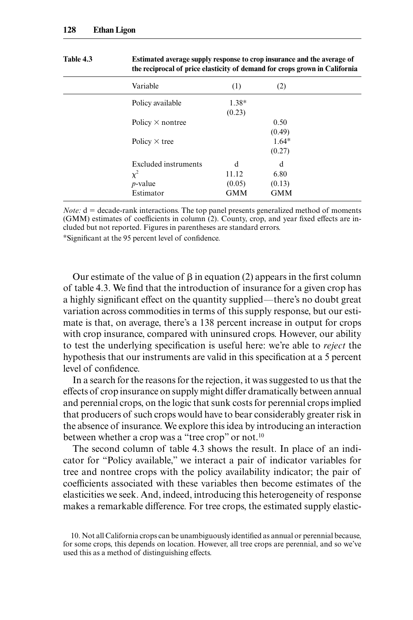| Variable                         | (1)                  | (2)                  |  |
|----------------------------------|----------------------|----------------------|--|
| Policy available                 | $1.38*$<br>(0.23)    |                      |  |
| Policy $\times$ nontree          |                      | 0.50<br>(0.49)       |  |
| Policy $\times$ tree             |                      | $1.64*$<br>(0.27)    |  |
| Excluded instruments<br>$\chi^2$ | d<br>11.12           | d<br>6.80            |  |
| $p$ -value<br>Estimator          | (0.05)<br><b>GMM</b> | (0.13)<br><b>GMM</b> |  |

**Table 4.3 Estimated average supply response to crop insurance and the average of the reciprocal of price elasticity of demand for crops grown in California**

*Note:*  $d =$  decade-rank interactions. The top panel presents generalized method of moments (GMM) estimates of coefficients in column (2). County, crop, and year fixed effects are included but not reported. Figures in parentheses are standard errors.

\*Significant at the 95 percent level of confidence.

Our estimate of the value of  $\beta$  in equation (2) appears in the first column of table 4.3. We find that the introduction of insurance for a given crop has a highly significant effect on the quantity supplied—there's no doubt great variation across commodities in terms of this supply response, but our estimate is that, on average, there's a 138 percent increase in output for crops with crop insurance, compared with uninsured crops. However, our ability to test the underlying specification is useful here: we're able to *reject* the hypothesis that our instruments are valid in this specification at a 5 percent level of confidence.

In a search for the reasons for the rejection, it was suggested to us that the effects of crop insurance on supply might differ dramatically between annual and perennial crops, on the logic that sunk costs for perennial crops implied that producers of such crops would have to bear considerably greater risk in the absence of insurance. We explore this idea by introducing an interaction between whether a crop was a "tree crop" or not.<sup>10</sup>

The second column of table 4.3 shows the result. In place of an indicator for "Policy available," we interact a pair of indicator variables for tree and nontree crops with the policy availability indicator; the pair of coefficients associated with these variables then become estimates of the elasticities we seek. And, indeed, introducing this heterogeneity of response makes a remarkable difference. For tree crops, the estimated supply elastic-

<sup>10.</sup> Not all California crops can be unambiguously identified as annual or perennial because, for some crops, this depends on location. However, all tree crops are perennial, and so we've used this as a method of distinguishing effects.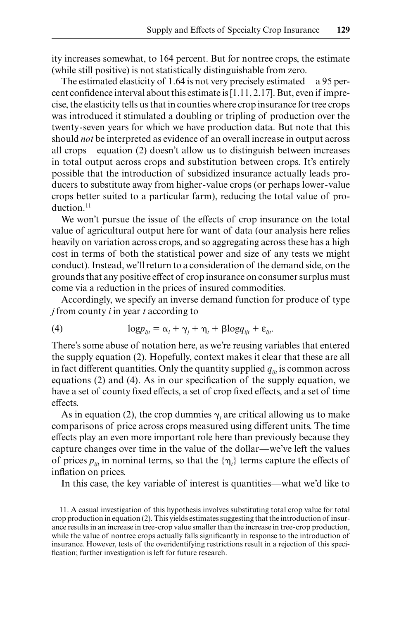ity increases somewhat, to 164 percent. But for nontree crops, the estimate (while still positive) is not statistically distinguishable from zero.

The estimated elasticity of 1.64 is not very precisely estimated—a 95 percent confidence interval about this estimate is  $[1.11, 2.17]$ . But, even if imprecise, the elasticity tells us that in counties where crop insurance for tree crops was introduced it stimulated a doubling or tripling of production over the twenty- seven years for which we have production data. But note that this should *not* be interpreted as evidence of an overall increase in output across all crops—equation (2) doesn't allow us to distinguish between increases in total output across crops and substitution between crops. It's entirely possible that the introduction of subsidized insurance actually leads producers to substitute away from higher- value crops (or perhaps lower- value crops better suited to a particular farm), reducing the total value of production.<sup>11</sup>

We won't pursue the issue of the effects of crop insurance on the total value of agricultural output here for want of data (our analysis here relies heavily on variation across crops, and so aggregating across these has a high cost in terms of both the statistical power and size of any tests we might conduct). Instead, we'll return to a consideration of the demand side, on the grounds that any positive effect of crop insurance on consumer surplus must come via a reduction in the prices of insured commodities.

Accordingly, we specify an inverse demand function for produce of type *j* from county *i* in year *t* according to

(4) 
$$
\log p_{ijt} = \alpha_i + \gamma_j + \eta_t + \beta \log q_{ijt} + \varepsilon_{ijt}.
$$

There's some abuse of notation here, as we're reusing variables that entered the supply equation (2). Hopefully, context makes it clear that these are all in fact different quantities. Only the quantity supplied  $q_{ij}$  is common across equations (2) and (4). As in our specification of the supply equation, we have a set of county fixed effects, a set of crop fixed effects, and a set of time effects.

As in equation (2), the crop dummies  $\gamma$  are critical allowing us to make comparisons of price across crops measured using different units. The time effects play an even more important role here than previously because they capture changes over time in the value of the dollar—we've left the values of prices  $p_{ijt}$  in nominal terms, so that the  $\{\eta_t\}$  terms capture the effects of inflation on prices.

In this case, the key variable of interest is quantities—what we'd like to

<sup>11.</sup> A casual investigation of this hypothesis involves substituting total crop value for total crop production in equation (2). This yields estimates suggesting that the introduction of insurance results in an increase in tree- crop value smaller than the increase in tree- crop production, while the value of nontree crops actually falls significantly in response to the introduction of insurance. However, tests of the overidentifying restrictions result in a rejection of this specification; further investigation is left for future research.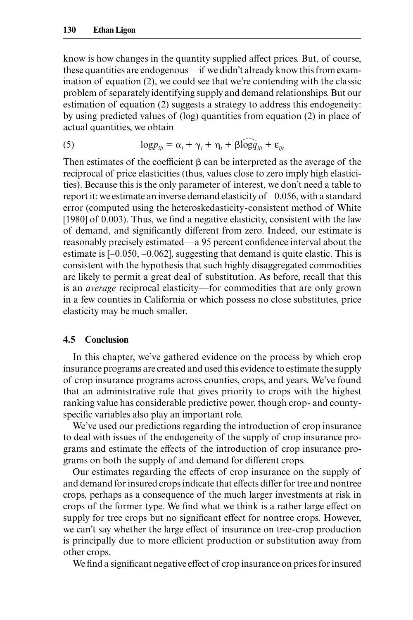know is how changes in the quantity supplied affect prices. But, of course, these quantities are endogenous—if we didn't already know this from examination of equation (2), we could see that we're contending with the classic problem of separately identifying supply and demand relationships. But our estimation of equation (2) suggests a strategy to address this endogeneity: by using predicted values of (log) quantities from equation (2) in place of actual quantities, we obtain  $\widehat{\log}$ 

(5) 
$$
\log p_{ijt} = \alpha_i + \gamma_j + \eta_t + \beta \log q_{ijt} + \varepsilon_{ijt}
$$

Then estimates of the coefficient  $\beta$  can be interpreted as the average of the reciprocal of price elasticities (thus, values close to zero imply high elasticities). Because this is the only parameter of interest, we don't need a table to report it: we estimate an inverse demand elasticity of  $-0.056$ , with a standard error (computed using the heteroskedasticity- consistent method of White  $[1980]$  of 0.003). Thus, we find a negative elasticity, consistent with the law of demand, and significantly different from zero. Indeed, our estimate is reasonably precisely estimated—a 95 percent confidence interval about the estimate is  $[-0.050, -0.062]$ , suggesting that demand is quite elastic. This is consistent with the hypothesis that such highly disaggregated commodities are likely to permit a great deal of substitution. As before, recall that this is an *average* reciprocal elasticity—for commodities that are only grown in a few counties in California or which possess no close substitutes, price elasticity may be much smaller.

## **4.5 Conclusion**

In this chapter, we've gathered evidence on the process by which crop insurance programs are created and used this evidence to estimate the supply of crop insurance programs across counties, crops, and years. We've found that an administrative rule that gives priority to crops with the highest ranking value has considerable predictive power, though crop- and county specific variables also play an important role.

We've used our predictions regarding the introduction of crop insurance to deal with issues of the endogeneity of the supply of crop insurance programs and estimate the effects of the introduction of crop insurance programs on both the supply of and demand for different crops.

Our estimates regarding the effects of crop insurance on the supply of and demand for insured crops indicate that effects differ for tree and nontree crops, perhaps as a consequence of the much larger investments at risk in crops of the former type. We find what we think is a rather large effect on supply for tree crops but no significant effect for nontree crops. However, we can't say whether the large effect of insurance on tree- crop production is principally due to more efficient production or substitution away from other crops.

We find a significant negative effect of crop insurance on prices for insured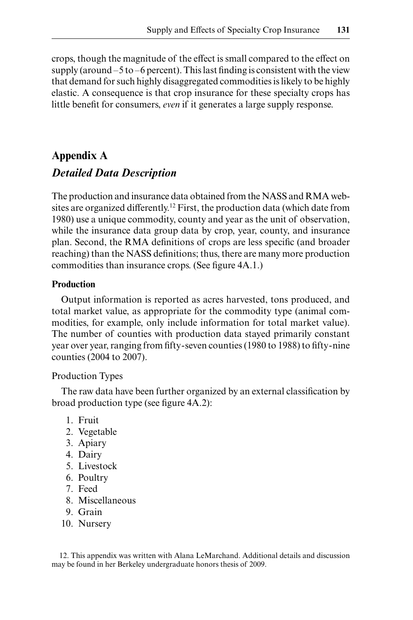crops, though the magnitude of the effect is small compared to the effect on supply (around  $-5$  to  $-6$  percent). This last finding is consistent with the view that demand for such highly disaggregated commodities is likely to be highly elastic. A consequence is that crop insurance for these specialty crops has little benefit for consumers, *even* if it generates a large supply response.

## **Appendix A** *Detailed Data Description*

The production and insurance data obtained from the NASS and RMA websites are organized differently.12 First, the production data (which date from 1980) use a unique commodity, county and year as the unit of observation, while the insurance data group data by crop, year, county, and insurance plan. Second, the RMA definitions of crops are less specific (and broader reaching) than the NASS definitions; thus, there are many more production commodities than insurance crops. (See figure 4A.1.)

## **Production**

Output information is reported as acres harvested, tons produced, and total market value, as appropriate for the commodity type (animal commodities, for example, only include information for total market value). The number of counties with production data stayed primarily constant year over year, ranging from fifty-seven counties (1980 to 1988) to fifty-nine counties (2004 to 2007).

## Production Types

The raw data have been further organized by an external classification by broad production type (see figure 4A.2):

- 1. Fruit
- 2. Vegetable
- 3. Apiary
- 4. Dairy
- 5. Livestock
- 6. Poultry
- 7. Feed
- 8. Miscellaneous
- 9. Grain
- 10. Nursery

12. This appendix was written with Alana LeMarchand. Additional details and discussion may be found in her Berkeley undergraduate honors thesis of 2009.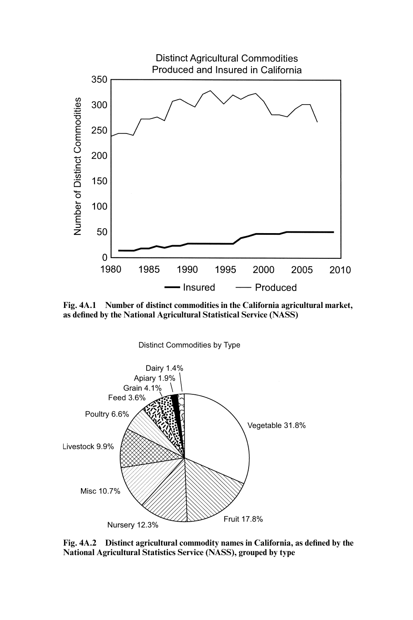

**Fig. 4A.1 Number of distinct commodities in the California agricultural market,**  as defined by the National Agricultural Statistical Service (NASS)



Fig. 4A.2 Distinct agricultural commodity names in California, as defined by the **National Agricultural Statistics Service (NASS), grouped by type**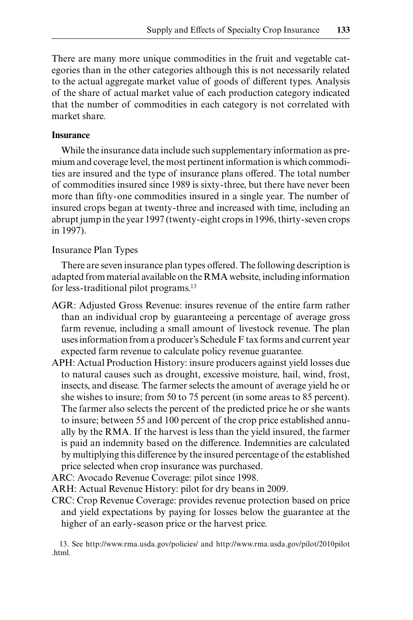There are many more unique commodities in the fruit and vegetable categories than in the other categories although this is not necessarily related to the actual aggregate market value of goods of different types. Analysis of the share of actual market value of each production category indicated that the number of commodities in each category is not correlated with market share.

#### **Insurance**

While the insurance data include such supplementary information as premium and coverage level, the most pertinent information is which commodities are insured and the type of insurance plans offered. The total number of commodities insured since 1989 is sixty- three, but there have never been more than fifty-one commodities insured in a single year. The number of insured crops began at twenty- three and increased with time, including an abrupt jump in the year 1997 (twenty- eight crops in 1996, thirty- seven crops in 1997).

#### Insurance Plan Types

There are seven insurance plan types offered. The following description is adapted from material available on the RMA website, including information for less- traditional pilot programs.13

- AGR: Adjusted Gross Revenue: insures revenue of the entire farm rather than an individual crop by guaranteeing a percentage of average gross farm revenue, including a small amount of livestock revenue. The plan uses information from a producer's Schedule F tax forms and current year expected farm revenue to calculate policy revenue guarantee.
- APH: Actual Production History: insure producers against yield losses due to natural causes such as drought, excessive moisture, hail, wind, frost, insects, and disease. The farmer selects the amount of average yield he or she wishes to insure; from 50 to 75 percent (in some areas to 85 percent). The farmer also selects the percent of the predicted price he or she wants to insure; between 55 and 100 percent of the crop price established annually by the RMA. If the harvest is less than the yield insured, the farmer is paid an indemnity based on the difference. Indemnities are calculated by multiplying this difference by the insured percentage of the established price selected when crop insurance was purchased.

ARC: Avocado Revenue Coverage: pilot since 1998.

ARH: Actual Revenue History: pilot for dry beans in 2009.

CRC: Crop Revenue Coverage: provides revenue protection based on price and yield expectations by paying for losses below the guarantee at the higher of an early-season price or the harvest price.

13. See http:/ / www.rma.usda.gov/ policies/ and http:/ / www.rma.usda.gov/ pilot/ 2010pilot .html.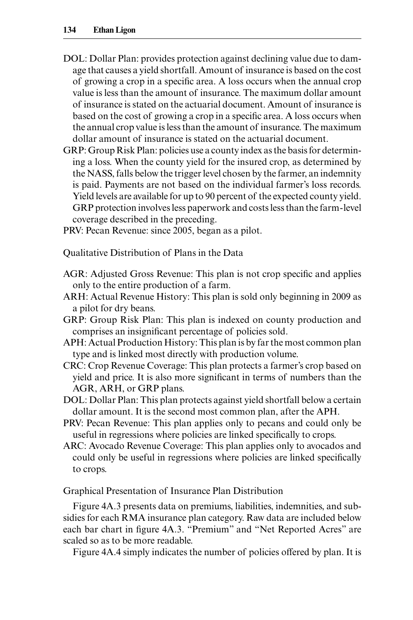- DOL: Dollar Plan: provides protection against declining value due to damage that causes a yield shortfall. Amount of insurance is based on the cost of growing a crop in a specific area. A loss occurs when the annual crop value is less than the amount of insurance. The maximum dollar amount of insurance is stated on the actuarial document. Amount of insurance is based on the cost of growing a crop in a specific area. A loss occurs when the annual crop value is less than the amount of insurance. The maximum dollar amount of insurance is stated on the actuarial document.
- GRP: Group Risk Plan: policies use a county index as the basis for determining a loss. When the county yield for the insured crop, as determined by the NASS, falls below the trigger level chosen by the farmer, an indemnity is paid. Payments are not based on the individual farmer's loss records. Yield levels are available for up to 90 percent of the expected county yield. GRP protection involves less paperwork and costs less than the farm- level coverage described in the preceding.
- PRV: Pecan Revenue: since 2005, began as a pilot.

Qualitative Distribution of Plans in the Data

- AGR: Adjusted Gross Revenue: This plan is not crop specific and applies only to the entire production of a farm.
- ARH: Actual Revenue History: This plan is sold only beginning in 2009 as a pilot for dry beans.
- GRP: Group Risk Plan: This plan is indexed on county production and comprises an insignificant percentage of policies sold.
- APH: Actual Production History: This plan is by far the most common plan type and is linked most directly with production volume.
- CRC: Crop Revenue Coverage: This plan protects a farmer's crop based on yield and price. It is also more significant in terms of numbers than the AGR, ARH, or GRP plans.
- DOL: Dollar Plan: This plan protects against yield shortfall below a certain dollar amount. It is the second most common plan, after the APH.
- PRV: Pecan Revenue: This plan applies only to pecans and could only be useful in regressions where policies are linked specifically to crops.
- ARC: Avocado Revenue Coverage: This plan applies only to avocados and could only be useful in regressions where policies are linked specifically to crops.

Graphical Presentation of Insurance Plan Distribution

Figure 4A.3 presents data on premiums, liabilities, indemnities, and subsidies for each RMA insurance plan category. Raw data are included below each bar chart in figure 4A.3. "Premium" and "Net Reported Acres" are scaled so as to be more readable.

Figure 4A.4 simply indicates the number of policies offered by plan. It is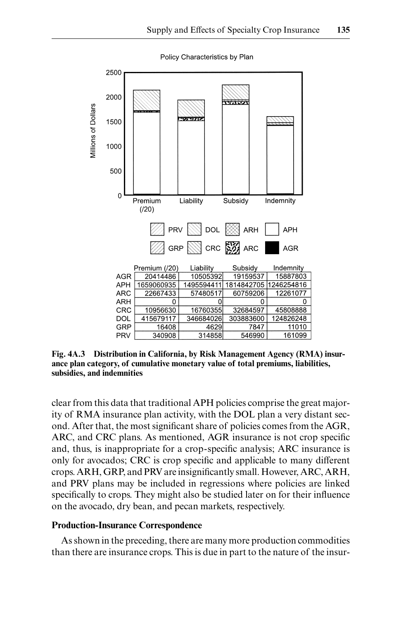

Policy Characteristics by Plan

**Fig. 4A.3 Distribution in California, by Risk Management Agency (RMA) insurance plan category, of cumulative monetary value of total premiums, liabilities, subsidies, and indemnities**

clear from this data that traditional APH policies comprise the great majority of RMA insurance plan activity, with the DOL plan a very distant second. After that, the most significant share of policies comes from the AGR, ARC, and CRC plans. As mentioned, AGR insurance is not crop specific and, thus, is inappropriate for a crop-specific analysis; ARC insurance is only for avocados; CRC is crop specific and applicable to many different crops. ARH, GRP, and PRV are insignificantly small. However, ARC, ARH, and PRV plans may be included in regressions where policies are linked specifically to crops. They might also be studied later on for their influence on the avocado, dry bean, and pecan markets, respectively.

#### **Production- Insurance Correspondence**

As shown in the preceding, there are many more production commodities than there are insurance crops. This is due in part to the nature of the insur-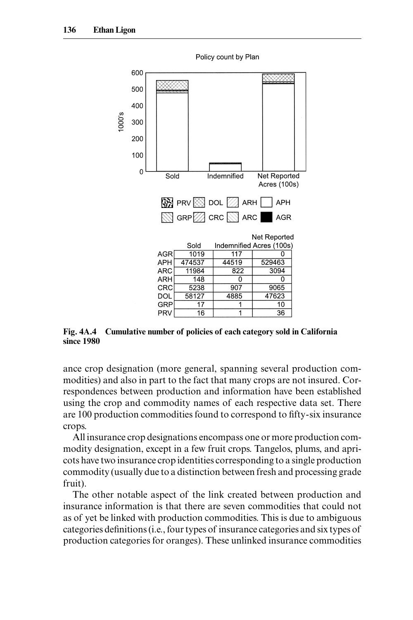

Policy count by Plan

**Fig. 4A.4 Cumulative number of policies of each category sold in California since 1980**

ance crop designation (more general, spanning several production commodities) and also in part to the fact that many crops are not insured. Correspondences between production and information have been established using the crop and commodity names of each respective data set. There are 100 production commodities found to correspond to fifty-six insurance crops.

All insurance crop designations encompass one or more production commodity designation, except in a few fruit crops. Tangelos, plums, and apricots have two insurance crop identities corresponding to a single production commodity (usually due to a distinction between fresh and processing grade fruit).

The other notable aspect of the link created between production and insurance information is that there are seven commodities that could not as of yet be linked with production commodities. This is due to ambiguous categories definitions (i.e., four types of insurance categories and six types of production categories for oranges). These unlinked insurance commodities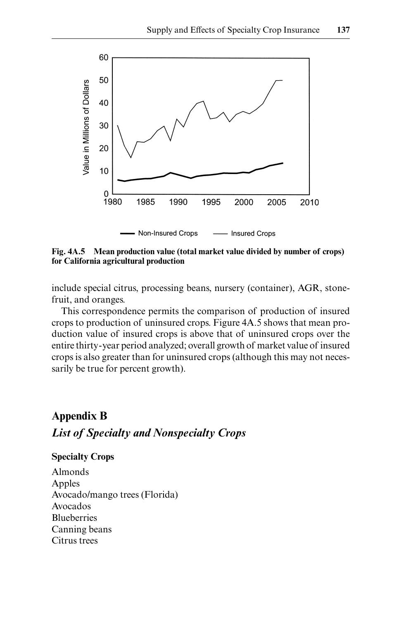

**Fig. 4A.5 Mean production value (total market value divided by number of crops) for California agricultural production**

include special citrus, processing beans, nursery (container), AGR, stonefruit, and oranges.

This correspondence permits the comparison of production of insured crops to production of uninsured crops. Figure 4A.5 shows that mean production value of insured crops is above that of uninsured crops over the entire thirty- year period analyzed; overall growth of market value of insured crops is also greater than for uninsured crops (although this may not necessarily be true for percent growth).

## **Appendix B** *List of Specialty and Nonspecialty Crops*

## **Specialty Crops**

Almonds Apples Avocado/mango trees (Florida) Avocados **Blueberries** Canning beans Citrus trees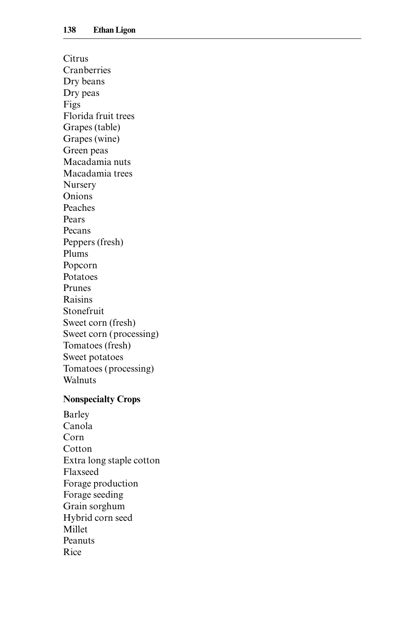Citrus **Cranberries** Dry beans Dry peas Figs Florida fruit trees Grapes (table) Grapes (wine) Green peas Macadamia nuts Macadamia trees Nursery Onions Peaches Pears Pecans Peppers (fresh) Plums Popcorn Potatoes Prunes Raisins Stonefruit Sweet corn (fresh) Sweet corn (processing) Tomatoes (fresh) Sweet potatoes Tomatoes (processing) Walnuts **Nonspecialty Crops** Barley Canola Corn Cotton Extra long staple cotton Flaxseed Forage production Forage seeding Grain sorghum Hybrid corn seed

Millet

Peanuts

Rice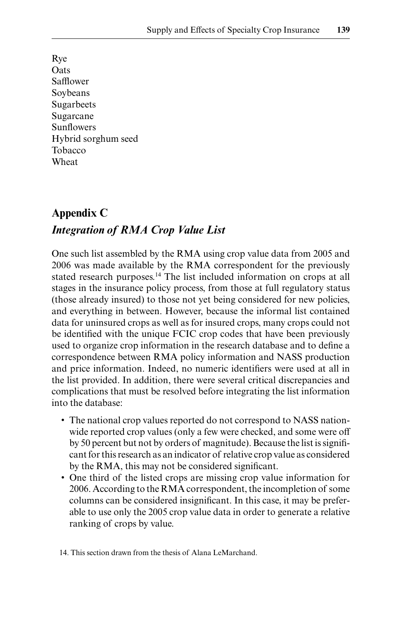Rye **O**ats Safflower Soybeans Sugarbeets Sugarcane **Sunflowers** Hybrid sorghum seed Tobacco Wheat

## **Appendix C** *Integration of RMA Crop Value List*

One such list assembled by the RMA using crop value data from 2005 and 2006 was made available by the RMA correspondent for the previously stated research purposes.<sup>14</sup> The list included information on crops at all stages in the insurance policy process, from those at full regulatory status (those already insured) to those not yet being considered for new policies, and everything in between. However, because the informal list contained data for uninsured crops as well as for insured crops, many crops could not be identified with the unique FCIC crop codes that have been previously used to organize crop information in the research database and to define a correspondence between RMA policy information and NASS production and price information. Indeed, no numeric identifiers were used at all in the list provided. In addition, there were several critical discrepancies and complications that must be resolved before integrating the list information into the database:

- The national crop values reported do not correspond to NASS nationwide reported crop values (only a few were checked, and some were off by 50 percent but not by orders of magnitude). Because the list is signifi cant for this research as an indicator of relative crop value as considered by the RMA, this may not be considered significant.
- One third of the listed crops are missing crop value information for 2006. According to the RMA correspondent, the incompletion of some columns can be considered insignificant. In this case, it may be preferable to use only the 2005 crop value data in order to generate a relative ranking of crops by value.

14. This section drawn from the thesis of Alana LeMarchand.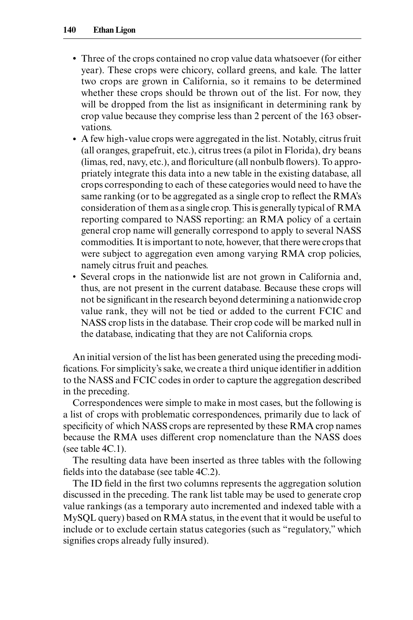- Three of the crops contained no crop value data whatsoever (for either year). These crops were chicory, collard greens, and kale. The latter two crops are grown in California, so it remains to be determined whether these crops should be thrown out of the list. For now, they will be dropped from the list as insignificant in determining rank by crop value because they comprise less than 2 percent of the 163 observations.
- A few high- value crops were aggregated in the list. Notably, citrus fruit (all oranges, grapefruit, etc.), citrus trees (a pilot in Florida), dry beans (limas, red, navy, etc.), and floriculture (all nonbulb flowers). To appropriately integrate this data into a new table in the existing database, all crops corresponding to each of these categories would need to have the same ranking (or to be aggregated as a single crop to reflect the RMA's consideration of them as a single crop. This is generally typical of RMA reporting compared to NASS reporting: an RMA policy of a certain general crop name will generally correspond to apply to several NASS commodities. It is important to note, however, that there were crops that were subject to aggregation even among varying RMA crop policies, namely citrus fruit and peaches.
- Several crops in the nationwide list are not grown in California and, thus, are not present in the current database. Because these crops will not be significant in the research beyond determining a nationwide crop value rank, they will not be tied or added to the current FCIC and NASS crop lists in the database. Their crop code will be marked null in the database, indicating that they are not California crops.

An initial version of the list has been generated using the preceding modifications. For simplicity's sake, we create a third unique identifier in addition to the NASS and FCIC codes in order to capture the aggregation described in the preceding.

Correspondences were simple to make in most cases, but the following is a list of crops with problematic correspondences, primarily due to lack of specificity of which NASS crops are represented by these RMA crop names because the RMA uses different crop nomenclature than the NASS does (see table 4C.1).

The resulting data have been inserted as three tables with the following fields into the database (see table  $4C.2$ ).

The ID field in the first two columns represents the aggregation solution discussed in the preceding. The rank list table may be used to generate crop value rankings (as a temporary auto incremented and indexed table with a MySQL query) based on RMA status, in the event that it would be useful to include or to exclude certain status categories (such as "regulatory," which signifies crops already fully insured).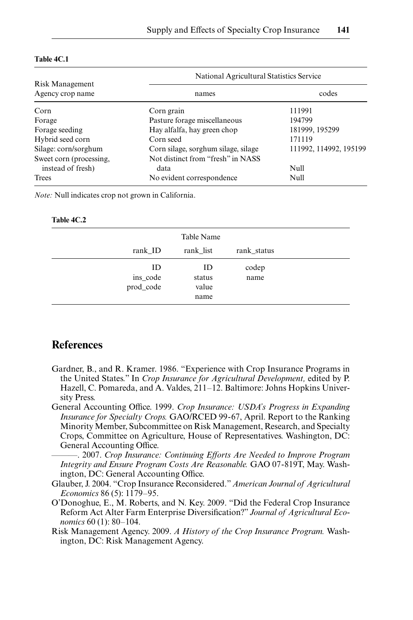|                                                 | National Agricultural Statistics Service                                 |                        |
|-------------------------------------------------|--------------------------------------------------------------------------|------------------------|
| Risk Management<br>Agency crop name             | names                                                                    | codes                  |
| Corn                                            | Corn grain                                                               | 111991                 |
| Forage                                          | Pasture forage miscellaneous                                             | 194799                 |
| Forage seeding                                  | Hay alfalfa, hay green chop                                              | 181999, 195299         |
| Hybrid seed corn                                | Corn seed                                                                | 171119                 |
| Silage: corn/sorghum<br>Sweet corn (processing, | Corn silage, sorghum silage, silage<br>Not distinct from "fresh" in NASS | 111992, 114992, 195199 |
| instead of fresh)                               | data                                                                     | Null                   |
| Trees                                           | No evident correspondence                                                | Null                   |

#### **Table 4C.1**

*Note:* Null indicates crop not grown in California.

| Table Name                  |                               |               |  |  |
|-----------------------------|-------------------------------|---------------|--|--|
| rank_ID                     | rank_list                     | rank_status   |  |  |
| ID<br>ins_code<br>prod_code | ID<br>status<br>value<br>name | codep<br>name |  |  |

## **Table 4C.2**

## **References**

- Gardner, B., and R. Kramer. 1986. "Experience with Crop Insurance Programs in the United States." In *Crop Insurance for Agricultural Development,* edited by P. Hazell, C. Pomareda, and A. Valdes, 211–12. Baltimore: Johns Hopkins University Press.
- General Accounting Office. 1999. *Crop Insurance: USDA's Progress in Expanding Insurance for Specialty Crops.* GAO/RCED 99-67, April. Report to the Ranking Minority Member, Subcommittee on Risk Management, Research, and Specialty Crops, Committee on Agriculture, House of Representatives. Washington, DC: General Accounting Office.

———. 2007. *Crop Insurance: Continuing Efforts Are Needed to Improve Program*  Integrity and Ensure Program Costs Are Reasonable. GAO 07-819T, May. Washington, DC: General Accounting Office.

- Glauber, J. 2004. "Crop Insurance Reconsidered." *American Journal of Agricultural Economics* 86 (5): 1179–95.
- O'Donoghue, E., M. Roberts, and N. Key. 2009. "Did the Federal Crop Insurance Reform Act Alter Farm Enterprise Diversification?" Journal of Agricultural Eco*nomics* 60 (1): 80-104.
- Risk Management Agency. 2009. *A History of the Crop Insurance Program.* Washington, DC: Risk Management Agency.